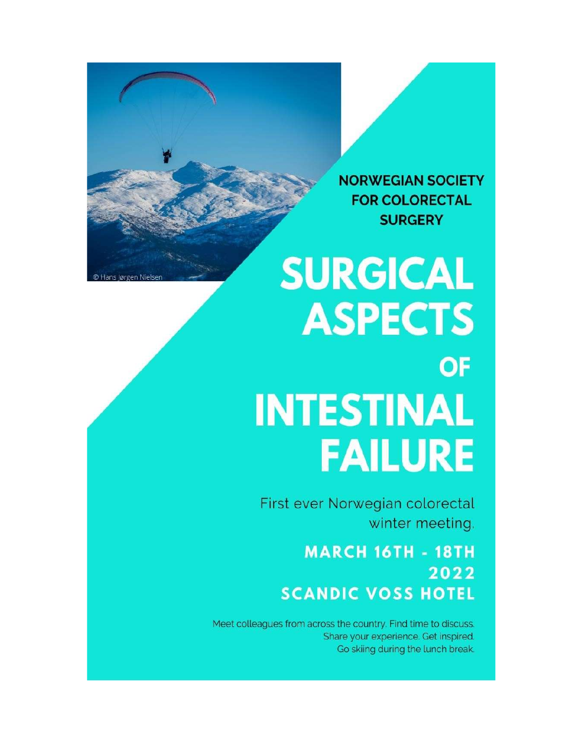**NORWEGIAN SOCIETY FOR COLORECTAL SURGERY** 

# **SURGICAL ASPECTS OF INTESTINAL FAILURE**

First ever Norwegian colorectal winter meeting.

> **MARCH 16TH - 18TH** 2022 **SCANDIC VOSS HOTEL**

Meet colleagues from across the country. Find time to discuss. Share your experience. Get inspired. Go skiing during the lunch break.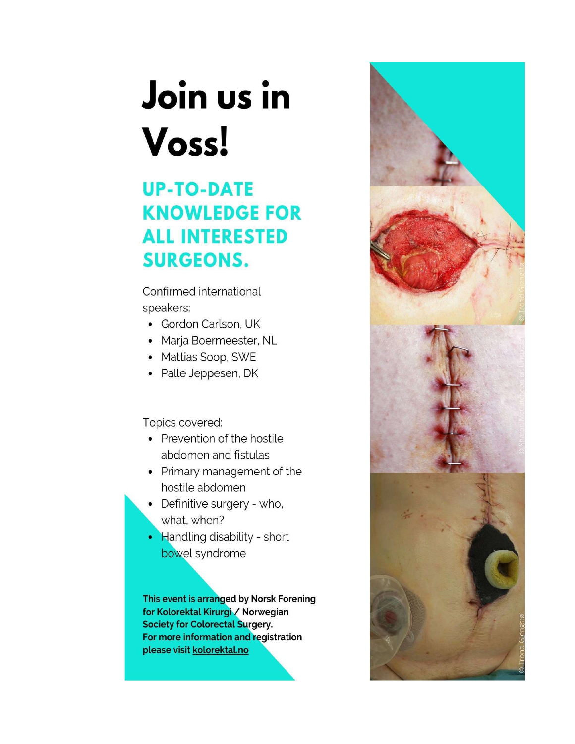# Join us in Voss!

## **UP-TO-DATE KNOWLEDGE FOR ALL INTERESTED SURGEONS.**

Confirmed international speakers:

- Gordon Carlson, UK
- Marja Boermeester, NL
- Mattias Soop, SWE
- Palle Jeppesen, DK

### Topics covered:

- Prevention of the hostile abdomen and fistulas
- Primary management of the hostile abdomen
- Definitive surgery who, what, when?
- Handling disability short bowel syndrome

This event is arranged by Norsk Forening for Kolorektal Kirurgi / Norwegian **Society for Colorectal Surgery.** For more information and registration please visit kolorektal.no

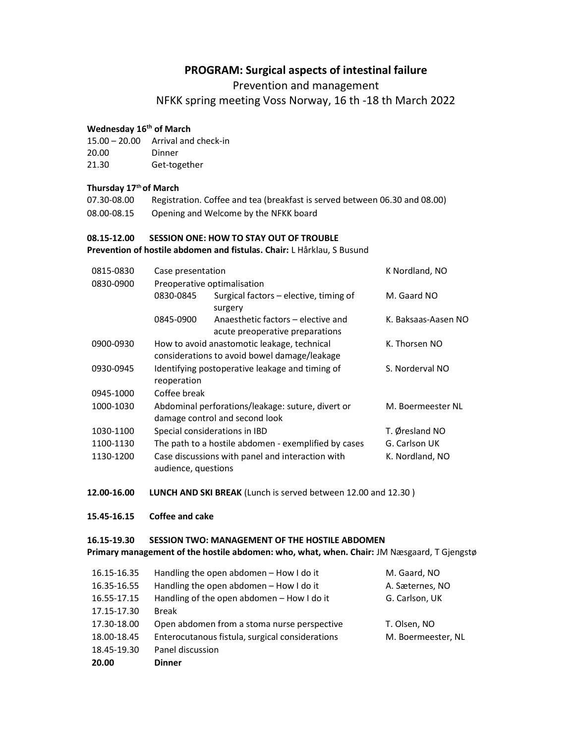### PROGRAM: Surgical aspects of intestinal failure

Prevention and management

NFKK spring meeting Voss Norway, 16 th -18 th March 2022

#### Wednesday 16<sup>th</sup> of March

- 15.00 20.00 Arrival and check-in
- 20.00 Dinner
- 21.30 Get-together

#### Thursday 17th of March

07.30-08.00 Registration. Coffee and tea (breakfast is served between 06.30 and 08.00) 08.00-08.15 Opening and Welcome by the NFKK board

#### 08.15-12.00 SESSION ONE: HOW TO STAY OUT OF TROUBLE Prevention of hostile abdomen and fistulas. Chair: L Hårklau, S Busund

| 0815-0830 | Case presentation                                                                                        |                                                                       | K Nordland, NO      |  |
|-----------|----------------------------------------------------------------------------------------------------------|-----------------------------------------------------------------------|---------------------|--|
| 0830-0900 | Preoperative optimalisation                                                                              |                                                                       |                     |  |
|           | 0830-0845                                                                                                | Surgical factors – elective, timing of<br>surgery                     | M. Gaard NO         |  |
|           | 0845-0900                                                                                                | Anaesthetic factors - elective and<br>acute preoperative preparations | K. Baksaas-Aasen NO |  |
| 0900-0930 | How to avoid anastomotic leakage, technical<br>considerations to avoid bowel damage/leakage              | K. Thorsen NO                                                         |                     |  |
| 0930-0945 | Identifying postoperative leakage and timing of<br>reoperation                                           |                                                                       | S. Norderval NO     |  |
| 0945-1000 | Coffee break                                                                                             |                                                                       |                     |  |
| 1000-1030 | Abdominal perforations/leakage: suture, divert or<br>M. Boermeester NL<br>damage control and second look |                                                                       |                     |  |
| 1030-1100 | Special considerations in IBD                                                                            |                                                                       | T. Øresland NO      |  |
| 1100-1130 | The path to a hostile abdomen - exemplified by cases                                                     |                                                                       | G. Carlson UK       |  |
| 1130-1200 | audience, questions                                                                                      | Case discussions with panel and interaction with                      | K. Nordland, NO     |  |

- 12.00-16.00 LUNCH AND SKI BREAK (Lunch is served between 12.00 and 12.30)
- 15.45-16.15 Coffee and cake

#### 16.15-19.30 SESSION TWO: MANAGEMENT OF THE HOSTILE ABDOMEN

Primary management of the hostile abdomen: who, what, when. Chair: JM Næsgaard, T Gjengstø

| 16.15-16.35 | Handling the open abdomen - How I do it         | M. Gaard, NO       |
|-------------|-------------------------------------------------|--------------------|
| 16.35-16.55 | Handling the open abdomen - How I do it         | A. Sæternes, NO    |
| 16.55-17.15 | Handling of the open abdomen - How I do it      | G. Carlson, UK     |
| 17.15-17.30 | <b>Break</b>                                    |                    |
| 17.30-18.00 | Open abdomen from a stoma nurse perspective     | T. Olsen, NO       |
| 18.00-18.45 | Enterocutanous fistula, surgical considerations | M. Boermeester, NL |
| 18.45-19.30 | Panel discussion                                |                    |
| 20.00       | <b>Dinner</b>                                   |                    |